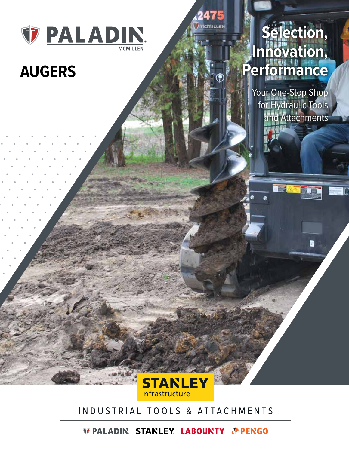

# **AUGERS**



Your One-Stop Shop for Hydraulic Tools and Attachments

**DIE A** 

随道

в



### INDUSTRIAL TOOLS & ATTACHMENTS

*DEALADIN STANLEY LABOUNTY & PENGO*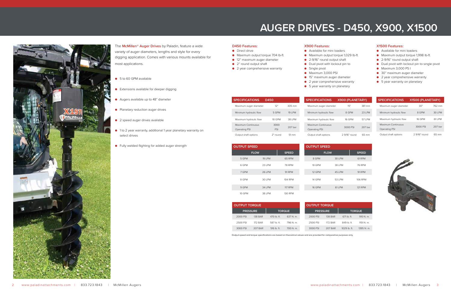- Maximum output torque 1,029 lb-ft.
	-
	-

| <b>SPECIFICATIONS</b>                      | D450        |                   | <b>SPECIFICATIONS</b>               |
|--------------------------------------------|-------------|-------------------|-------------------------------------|
| Maximum auger diameter                     | 12"         | 305 mm            | Maximum auger diam                  |
| Minimum hydraulic flow                     | 5 GPM       | 19 I PM           | Minimum hydraulic flo               |
| Maximum hydraulic flow                     | 10 GPM      | 38 I PM           | Maximum hydraulic flo               |
| Maximum Continuous<br><b>Operating PSI</b> | 3000<br>PSI | 207 bar           | Maximum Continuous<br>Operating PSI |
| Output shaft options                       | 2" round    | $51 \, \text{mm}$ | Output shaft options                |

| <b>TPUT SPEED</b> |             | <b>OUTPUT SPEED</b> |             |         |
|-------------------|-------------|---------------------|-------------|---------|
|                   | <b>FLOW</b> | <b>SPEED</b>        | <b>FLOW</b> |         |
| 5 GPM             | 19 LPM      | 65 RPM              | 8 GPM       | 30 LPM  |
| 6 GPM             | 23 I PM     | <b>78 RPM</b>       | 10 GPM      | 38 LPM  |
| 7 GPM             | 26 LPM      | 91 RPM              | 12 GPM      | 45 I PM |
| 8 GPM             | 30 LPM      | 104 RPM             | 14 GPM      | 53 LPM  |
| 9 GPM             | 34 LPM      | <b>117 RPM</b>      | 16 GPM      | 61 LPM  |
| 10 GPM            | 38 LPM      | <b>130 RPM</b>      |             |         |

|           | <b>X900 (PLANETARY)</b> |         |
|-----------|-------------------------|---------|
| eter      | 15"                     | 381 mm  |
| W         | 8 GPM                   | 23 LPM  |
| <b>DW</b> | 16 GPM                  | 57 I PM |
|           | 3000 PSI                | 207 bar |
|           | 2.9/16" round           | 65 mm   |

- 5 to 60 GPM available
- Extensions available for deeper digging
- Augers available up to 48" diameter
- Planetary reduction auger drives
- 2 speed auger drives available
- 1 to 2 year warranty, additional 1 year planetary warranty on select drives
- Fully welded flighting for added auger strength

| <b>SPECIFICATIONS</b>               | X1500 (PLANETARY) |         |  |
|-------------------------------------|-------------------|---------|--|
| Maximum auger diameter              | 30"               | 762 mm  |  |
| Minimum hydraulic flow              | 8 GPM             | 30 I PM |  |
| Maximum hydraulic flow              | 16 GPM            | 61 I PM |  |
| Maximum Continuous<br>Operating PSI | 3000 PSI          | 207 bar |  |
| Output shaft options                | 2.9/16" round     | 65 mm   |  |



- Available for mini loaders
- - 2-9/16" round output shaft
	- Dual pivot with lockout pin to
	- Single pivot
	- Maximum 3,000 PSI
	-
	-
	- 5 year warranty on planetary
- 15" maximum auger diameter
- 2 year comprehensive warranty
	-
- Available for mini loaders
- Maximum output torque 1,998 lb-ft.
- 2-9/16" round output shaft
- Dual pivot with lockout pin to single pivot
- Maximum 3,000 PS I
- 30" maximum auger diameter
- 2 year comprehensive warranty
- 5 year warranty on planetary

| <b>OUTPUT TORQUE</b> |                |               |               | <b>OUTPUT TORQUE</b> |                |                |               |
|----------------------|----------------|---------------|---------------|----------------------|----------------|----------------|---------------|
| <b>PRESSURE</b>      |                |               | <b>TORQUE</b> | <b>PRESSURE</b>      |                |                | <b>TORQUE</b> |
| 2000 PSI             | <b>138 BAR</b> | 470 lb. ft.   | 637 N. m.     | 2000 PSI             | <b>138 BAR</b> | $671$ lb. ft.  | 910 N. m.     |
| 2500 PSI             | 172 BAR        | 587 lb. ft.   | 796 N. m.     | 2500 PSI             | 172 RAR        | 849 lb. ft.    | 1151 N. m.    |
| 3000 PSI             | 207 BAR        | $516$ lb. ft. | 700 N.m.      | 3000 PSI             | 207 BAR        | $1029$ lb. ft. | 1395 N. m.    |



The **McMillen® Auger Drives** by Paladin, feature a wide variety of auger diameters, lengths and style for every digging application. Comes with various mounts available for most applications.

Output speed and torque specifications are based on theoretical values and are provided for comparative purposes only.

#### **D450 Features:**

● Direct drive

**L** OU

- Maximum output torque 704 lb-ft.
- 12" maximum auger diameter
- 2" round output shaft
- 2 year comprehensive warranty

#### **X900 Features:**

#### **X1500 Features:**

# **AUGER DRIVES - D450, X900, X1500**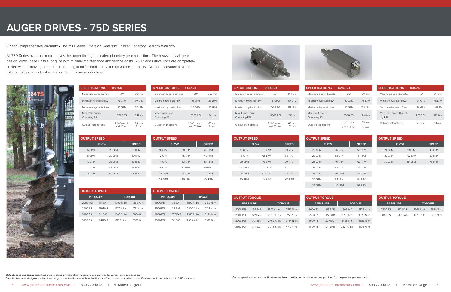# **AUGER DRIVES - 75D SERIES**

2 Year Comprehensive Warranty • The 75D Series Offers a 5 Year "No Hassle" Planetary Gearbox Warranty

| <b>SPECIFICATIONS</b>            | <b>X975D</b>                         |                 |
|----------------------------------|--------------------------------------|-----------------|
| Maximum auger diameter           | 24"                                  | 610 mm          |
| Minimum hydraulic flow           | 6 GPM                                | 30 LPM          |
| Maximum hydraulic flow           | <b>15 GPM</b>                        | 57 I PM         |
| Max, Continuous<br>Operating PSI | 3500 PSI                             | 241 bar         |
| Output shaft options             | $2\frac{9}{16}$ round.<br>and 2" hex | 65 mm.<br>51 mm |

| <b>OUTPUT SPEED</b> |               |  |  |  |  |  |
|---------------------|---------------|--|--|--|--|--|
| <b>FLOW</b>         | <b>SPEED</b>  |  |  |  |  |  |
| 23 I PM             | <b>38 RPM</b> |  |  |  |  |  |
| 30 I PM             | <b>50 RPM</b> |  |  |  |  |  |
| 38 I PM             | 63 RPM        |  |  |  |  |  |
| 45 I PM             | <b>75 RPM</b> |  |  |  |  |  |
| 57 LPM              | 94 RPM        |  |  |  |  |  |
|                     |               |  |  |  |  |  |

**OUTPUT SPEED**

**FLOW SPEED**

10 GPM 38 LPM 40 RPM 12 GPM 45 LPM 49 RPM 14 GPM 53 LPM 57 RPM 15 GPM 61 LPM 61 RPM 20 GPM 76 LPM 79 RPM 25 GPM 95 LPM 104 RPM

Maximum auger diameter 30" 762 mm Minimum hydraulic flow 10 GPM 38 LPM Maximum hydraulic flow 25 GPM 95 LPM

|               | <b>OUTPUT SPEED</b> |          |               |
|---------------|---------------------|----------|---------------|
| <b>SPEED</b>  | <b>FLOW</b>         |          | <b>SPEED</b>  |
| 53 RPM        | 20 GPM              | 76 I PM  | 56 RPM        |
| 63 RPM        | 22 GPM              | 83 I PM  | 61 RPM        |
| <b>70 RPM</b> | 24 GPM              | 91 I PM  | 67 RPM        |
| 84 RPM        | 26 GPM              | 98 I PM  | 73 RPM        |
| <b>98 RPM</b> | <b>28 GPM</b>       | 106 I PM | <b>78 RPM</b> |
| 106 RPM       | 30 GPM              | 114 I PM | 84 RPM        |
|               | 35 GPM              | 132 I PM | 98 RPM        |

| <b>SPECIFICATIONS</b>            | <b>X1975D</b>                          |                 | <b>SPECIFICATIONS</b>            |
|----------------------------------|----------------------------------------|-----------------|----------------------------------|
| Maximum auger diameter           | 36"                                    | 914 mm          | Maximum auger diam               |
| Minimum hydraulic flow           | 15 GPM                                 | 57 I PM         | Minimum hydraulic flc            |
| Maximum hydraulic flow           | 30 GPM                                 | 114 I PM        | Maximum hydraulic flo            |
| Max. Continuous<br>Operating PSI | 3500 PSI                               | 241 bar         | Max. Continuous<br>Operating PSI |
| Output shaft options             | $2\frac{9}{16}$ " round,<br>and 2" hex | 65 mm.<br>51 mm | Output shaft options             |

**OUTPUT SPEED**

 $FLOW$ 15 GPM 57 LPM 18 GPM 68 LPM 20 GPM 76 LPM 24 GPM 91 LPM 28 GPM 106 LPM 30 GPM 114 I PM

| <b>OUTPUT SPEED</b> |          |               |  |  |  |
|---------------------|----------|---------------|--|--|--|
| <b>FLOW</b>         |          | <b>SPEED</b>  |  |  |  |
| 24 GPM              | 91 I PM  | 45 RPM        |  |  |  |
| 27 GPM              | 102 I PM | 50 RPM        |  |  |  |
| 30 GPM              | 114   PM | <b>78 RPM</b> |  |  |  |

**SPECIFICATIONS X1475D**

Output shaft options  $2^{9/16}$ " round,

| <b>OUTPUT TORQUE</b> |                 |               |               | <b>OUTPUT TOR</b> |               |
|----------------------|-----------------|---------------|---------------|-------------------|---------------|
|                      | <b>PRESSURE</b> |               | <b>TORQUE</b> | <b>PRESSUI</b>    |               |
| 2000 PSI             | <b>138 BAR</b>  | 1856 ft. lbs. | 2516 N. m.    | 2000 PSI          |               |
| 2500 PSI             | 172 BAR         | 2328 ft. lbs. | $3156$ N. m.  | 2500 PSI          |               |
| 3000 PSI             | 207 BAR         | 2769 ft. lbs. | 3754 N.m.     | 3000 PSI          | $\frac{1}{2}$ |
|                      |                 |               |               |                   |               |

Max. Continuous Operating PSI

3500 PSI 241 bar

and 2" hex

65 mm, 51 mm

Output speed and torque specifications are based on theoretical values and are provided for comparative purposes only. suggest the statement of the superintent of the seculity of the secondary of the seculity of the seculity of the secondary of the seculity and torque specifications are based on theoretical values and are provided for comp

|            | <b>X2475D</b>            |               |
|------------|--------------------------|---------------|
| eter       | 36"                      | 914 mm        |
| W          | <b>20 GPM</b>            | <b>76 LPM</b> |
| <b>DWC</b> | 35 GPM                   | 132 I PM      |
|            | 3500 PSI                 | 241 bar       |
|            | $2\frac{9}{16}$ " round, | 65 mm.        |
|            | and 2" hex               | 51 mm         |

| <b>SPECIFICATIONS</b>              | <b>X3575</b> |          |
|------------------------------------|--------------|----------|
| Maximum auger diameter             | 48"          | 914 mm   |
| Minimum hydraulic flow             | 24 GPM       | 76 I PM  |
| Maximum hydraulic flow             | 30 GPM       | 114   PM |
| Max. Continuous Operat-<br>ing PSI | 2500 PSI     | 172 har  |
| Output shaft options               | $2"$ hex     | 51 mm    |

| <b>OUTPUT TORQUE</b> |                |                 |            |  |
|----------------------|----------------|-----------------|------------|--|
| <b>PRESSURE</b>      |                | <b>TORQUE</b>   |            |  |
| 2000 PSI             | <b>141 BAR</b> | $1000$ ft. lbs. | 1356 N. m. |  |
| 2500 PSI             | <b>176 BAR</b> | 1277 ft. lbs.   | 1731 N. m. |  |
| 3000 PSI             | 211 BAR        | 1500 ft. lbs.   | 2034 N. m. |  |
| 3500 PSI             | 241 BAR        | 1713 ft. lbs.   | 2330 N m   |  |

| <b>OUTPUT TORQUE</b> |                 |               |               | <b>OUTPUT TORQUE</b> |                |               |               |
|----------------------|-----------------|---------------|---------------|----------------------|----------------|---------------|---------------|
|                      | <b>PRESSURE</b> |               | <b>TORQUE</b> | <b>PRESSURE</b>      |                |               | <b>TORQUE</b> |
| 2000 PSI             | <b>138 BAR</b>  | 1856 ft. lbs. | 2516 N. m.    | 2000 PSI             | <b>138 BAR</b> | 2308 lb. ft.  | 3129 N. m.    |
| 2500 PSI             | <b>172 BAR</b>  | 2328 ft. lbs. | 3156 N. m.    | 2500 PSI             | 172 BAR        | 2895 lb. ft.  | 3925 N. m.    |
| 3000 PSI             | 207 BAR         | 2769 ft. lbs. | 3754 N. m.    | 3000 PSI             | 207 BAR        | 3451 lb. ft.  | 4686 N. m.    |
| 3500 PSI             | 241 BAR         | 3044 ft. lbs. | 4140 N. m.    | 3500 PSI             | 241 BAR        | 3821 ft. lbs. | 5196 N. m.    |



| <b>OUTPUT TORQUE</b> |         |                |            |
|----------------------|---------|----------------|------------|
| <b>PRESSURE</b>      |         | <b>TORQUE</b>  |            |
| 2500 PSI             | 172 RAR | $3566$ lb. ft. | 4834 N. m. |
| 3000 PSI             | 207 BAR | 4279 lb. ft.   | 5801 N. m. |

| <b>OUTPUT TORQUE</b> |                 |               |            |
|----------------------|-----------------|---------------|------------|
|                      | <b>PRESSURE</b> | <b>TORQUE</b> |            |
| 2000 PSI             | 138 BAR         | 1600 ft. lbs. | $2169$ N m |
| 2500 PSI             | 172 BAR         | 2000 ft. lbs. | 2712 N m   |
| 3000 PSI             | 207 BAR         | 2377 ft. lbs. | 3223 N. m. |
| 3500 PSI             | 241 BAR         | 2630 ft. lbs. | 3577 N m   |

All 75D Series hydraulic motor drives the auger through a sealed planetary gear reduction. The heavy duty all gear design gives these units a long life with minimal maintenance and service costs. 75D Series drive units are completely sealed with all moving components running in oil for total lubrication on a constant basis. All models feature reverse rotation for quick backout when obstructions are encountered.



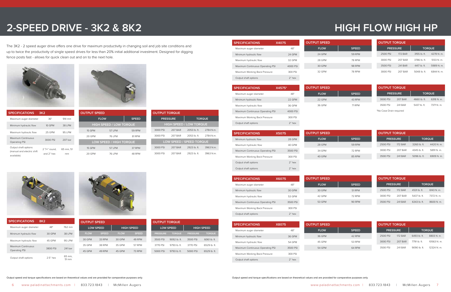# **HIGH FLOW HIGH HP**

Output speed and torque specifications are based on theoretical values and are provided for comparative purposes only.

# **2-SPEED DRIVE - 3K2 & 8K2**

| <b>SPECIFICATIONS</b>                                            | 3K <sub>2</sub>                        |                 |
|------------------------------------------------------------------|----------------------------------------|-----------------|
| Maximum auger diameter                                           | 36"                                    | 914 mm          |
| Minimum hydraulic flow                                           | <b>10 GPM</b>                          | 38 I PM         |
| Maximum hydraulic flow                                           | 25 GPM                                 | 95 I PM         |
| Maximum Continuous<br>Operating PSI                              | 3000 PSI                               | 207 har         |
| Output shaft options<br>(manual and electric shift<br>available) | $2\frac{9}{16}$ round.<br>and $2"$ hex | 65 mm, 51<br>mm |

| <b>SPECIFICATIONS</b>            | X4075    | <b>OUTPUT SPEED</b> |  |
|----------------------------------|----------|---------------------|--|
| Maximum auger diameter           | 48"      | <b>FLOW</b>         |  |
| Minimum hydraulic flow           | 24 GPM   | 24 GPM              |  |
| Maximum hydraulic flow           | 32 GPM   | 28 GPM              |  |
| Maximum Continuous Operating PSI | 4000 PSI | 30 GPM              |  |
| Maximum Working Back Pressure    | 300 PSI  | 32 GPM              |  |
| Output shaft options             | $2"$ hex |                     |  |

| <b>SPECIFICATIONS</b>            | X4575*   | <b>OUTPUT SPEED</b> |
|----------------------------------|----------|---------------------|
| Maximum auger diameter           | 48"      | <b>FLOW</b>         |
| Minimum hydraulic flow           | 22 GPM   | 22 GPM              |
| Maximum hydraulic flow           | 36 GPM   | 36 GPM              |
| Maximum Continuous Operating PSI | 4000 PSI |                     |
| Maximum Working Back Pressure    | 300 PSI  |                     |
| Output shaft options             | $2"$ hex |                     |

| <b>OUTPUT SPEED</b> |                                |              |
|---------------------|--------------------------------|--------------|
| <b>FLOW</b>         |                                | <b>SPEED</b> |
|                     | <b>HIGH SPEED / LOW TORQUE</b> |              |
| <b>15 GPM</b>       | 57 I PM                        | 59 RPM       |
| <b>20 GPM</b>       | 76 I PM                        | 81 RPM       |
|                     | LOW SPEED / HIGH TORQUE        |              |
| 15 GPM              | 57 I PM                        | 37 RPM       |
| 20 GPM              | 76 I PM                        | 48 RPM       |

| T SPEED       |               |
|---------------|---------------|
| <b>FLOW</b>   | <b>SPEED</b>  |
| 24 GPM        | 59 RPM        |
| 28 GPM        | <b>78 RPM</b> |
| <b>30 GPM</b> | <b>98 RPM</b> |
| 32 GPM        | <b>78 RPM</b> |
|               |               |

| I SPEED     | <b>SPEED</b> |  |  |
|-------------|--------------|--|--|
| <b>FLOW</b> |              |  |  |
| 22 GPM      | 43 RPM       |  |  |
| 36 GPM      | 71 RPM       |  |  |

| <b>SPECIFICATIONS</b>            | X5075    | <b>OUTPUT SPEED</b> |               |          | <b>OUTPUT TORQUE</b> |              |               |
|----------------------------------|----------|---------------------|---------------|----------|----------------------|--------------|---------------|
| Minimum hydraulic flow           | 28 GPM   | <b>FLOW</b>         | <b>SPEED</b>  |          | <b>PRESSURE</b>      |              | <b>TORQUE</b> |
| Maximum hydraulic flow           | 40 GPM   | 28 GPM              | 59 RPM        | 2500 PSI | <b>172 BAR</b>       | 3260 lb. ft. | 4420 N.m.     |
| Maximum Continuous Operating PSI | 3500 PSI | 34 GPM              | <b>72 RPM</b> | 3000 PSI | 207 BAR              | 4345 lb. ft. | 5891 N. m.    |
| Maximum Working Back Pressure    | 300 PSI  | 40 GPM              | 85 RPM        | 3500 PSI | 241 BAR              | 5096 lb. ft. | 6909 N. m.    |
| Output shaft options             | $2"$ hex |                     |               |          |                      |              |               |
| Output shaft options             | $2"$ hex |                     |               |          |                      |              |               |

| <b>SPECIFICATIONS</b>            | X6075    | <b>OUTPUT SPEED</b> |               | <b>OUTPUT TORQUE</b> |                 |              |               |
|----------------------------------|----------|---------------------|---------------|----------------------|-----------------|--------------|---------------|
| Maximum auger diameter           | 48"      | <b>FLOW</b>         | <b>SPEED</b>  |                      | <b>PRESSURE</b> |              | <b>TORQUE</b> |
| Minimum hydraulic flow           | 30 GPM   | 30 GPM              | 51 RPM        | 2500 PSI             | <b>172 BAR</b>  | 4531 lb. ft. | 6143 N. m.    |
| Maximum hydraulic flow           | 53 GPM   | 42 GPM              | 72 RPM        | 3000 PSI             | 207 BAR         | 5437 lb. ft. | 7372 N.m.     |
| Maximum Continuous Operating PSI | 3500 PSI | 53 GPM              | <b>90 RPM</b> | 3500 PSI             | 241 BAR         | 6343 lb. ft. | 8600 N.m.     |
| Maximum Working Back Pressure    | 300 PSI  |                     |               |                      |                 |              |               |
| Output shaft options             | $2"$ hex |                     |               |                      |                 |              |               |

| <b>SPECIFICATIONS</b><br><b>8K2</b> |            |                             |
|-------------------------------------|------------|-----------------------------|
| Maximum auger diameter              | 48"        | 762 mm                      |
| Minimum hydraulic flow              | 30 GPM     | 38 I PM                     |
| Maximum hydraulic flow              | 45 GPM     | 95 LPM                      |
| Maximum Continuous<br>Operating PSI | 3800 PSI   | 241 har                     |
| Output shaft options                | $2.5"$ hex | 65 mm.<br>$51 \, \text{mm}$ |



| <b>SPECIFICATIONS</b>            | X8075         | <b>OUTPUT SPEED</b> |              | <b>OUTPUT TORQUE</b> |                 |              |               |
|----------------------------------|---------------|---------------------|--------------|----------------------|-----------------|--------------|---------------|
| Maximum auger diameter           | 48"           | <b>FLOW</b>         | <b>SPEED</b> |                      | <b>PRESSURE</b> |              | <b>TORQUE</b> |
| Minimum hydraulic flow           | 36 GPM        | 36 GPM              | 42 RPM       | 2500 PSI             | <b>172 BAR</b>  | 6493 lb. ft. | 8803 N.m.     |
| Maximum hydraulic flow           | <b>54 GPM</b> | 45 GPM              | 53 RPM       | 3000 PSI             | 207 BAR         | 7791 lb. ft. | 10563 N.m.    |
| Maximum Continuous Operating PSI | 3500 PSI      | 54 GPM              | 64 RPM       | 3500 PSI             | 241 BAR         | 9090 lb. ft. | 12324 N. m.   |
| Maximum Working Back Pressure    | 300 PSI       |                     |              |                      |                 |              |               |
| Output shaft options             | $2"$ hex      |                     |              |                      |                 |              |               |

| <b>OUTPUT TORQUE</b> |                 |                                |               |
|----------------------|-----------------|--------------------------------|---------------|
|                      | <b>PRESSURE</b> |                                | <b>TORQUE</b> |
|                      |                 | <b>HIGH SPEED / LOW TORQUE</b> |               |
| 3000 PSI             | 207 BAR         | $2053$ lb. ft.                 | 2784 N m      |
| 3000 PSI             | 207 BAR         | 2053 lb. ft. 2784 N.m.         |               |
|                      |                 | LOW SPEED / SPEED TORQUE       |               |
| 3000 PSI             | 207 BAR         | 2923 lb. ft.                   | 3963 N.m.     |
| 3000 PSI             | 207 BAR         | 2923 lb ft                     | 3963 N.m.     |



| <b>OUTPUT TORQUE</b> |                |               |            |
|----------------------|----------------|---------------|------------|
| <b>PRESSURE</b>      |                | <b>TORQUE</b> |            |
| 2500 PSI             | <b>172 BAR</b> | 3155 lb. ft.  | 4278 N. m. |
| 3000 PSI             | 207 BAR        | 3786 lb. ft.  | 5133 N. m. |
| 3500 PSI             | 241 BAR        | 4417 lb. ft.  | 5989 N. m. |
| 3000 PSI             | 207 BAR        | $5048$ lb ft  | 6844 N m   |

| <b>OUTPUT SPEED</b> |                  |             |                   |
|---------------------|------------------|-------------|-------------------|
|                     | <b>LOW SPEED</b> |             | <b>HIGH SPEED</b> |
| <b>FLOW</b>         | <b>SPEED</b>     | <b>FLOW</b> | <b>SPEED</b>      |
| 30 GPM              | 33 RPM           | 30 GPM      | 49 RPM            |
| 35 GPM              | 38 RPM           | 35 GPM      | 57 RPM            |
| 45 GPM              | 49 RPM           | 45 GPM      | <b>73 RPM</b>     |
|                     |                  |             |                   |

| <b>OUTPUT TORQUE</b>    |         |               |            |  |
|-------------------------|---------|---------------|------------|--|
| <b>PRESSURE</b>         |         | <b>TORQUE</b> |            |  |
| 3000 PSI                | 207 BAR | 4660 lb. ft.  | 6318 N. m. |  |
| 3500 PSI                | 241 BAR | 5437 lb. ft.  | 7371 N. m. |  |
| *No Case Drain required |         |               |            |  |

| <b>OUTPUT TORQUE</b> |                  |                 |                   |
|----------------------|------------------|-----------------|-------------------|
|                      | <b>LOW SPEED</b> |                 | <b>HIGH SPEED</b> |
| <b>PRESSURE</b>      | <b>TORQUE</b>    | <b>PRESSURE</b> | <b>TORQUE</b>     |
| 3500 PSI             | 9092 lb. ft.     | 3500 PSI        | $6061$ lb. ft.    |
| 3770 PSI             | 9793 lb. ft.     | 3770 PSI        | 6529 lb. ft.      |
| 5000 PSI             | 9793 lb. ft.     | 5000 PSI        | 6529 lb. ft.      |

The 3K2 - 2 speed auger drive offers one drive for maximum productivity in changing soil and job site conditions and up to twice the productivity of single speed drives for less than 20% initial additional investment. Designed for digging fence posts fast - allows for quick clean out and on to the next hole.



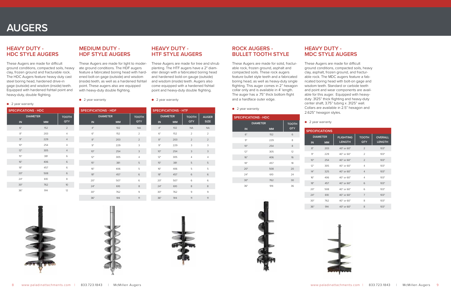



#### **HEAVY DUTY - HDC STYLE AUGERS**

These Augers are made for difficult ground conditions, compacted soils, heavy clay, frozen ground and fracturable rock. The HDC Augers feature heavy duty cast steel boring head, hardened drive-in gage (outside) and wisdom (inside) teeth. Equipped with hardened fishtail point and heavy-duty, double flighting.

#### ● 2 year warranty

### **ROCK AUGERS - BULLET TOOTH STYLE**

These Augers are made for solid, fracturable rock, frozen ground, asphalt and compacted soils. These rock augers feature bullet style teeth and a fabricated boring head, as well as heavy-duty single flighting. This auger comes in 2" hexagon collar only and is available in 4' length. The auger has a .75" thick bottom flight and a hardface outer edge.

#### ● 2 year warranty

### **MEDIUM DUTY - HDF STYLE AUGERS**

These Augers are made for light to moderate ground conditions. The HDF augers feature a fabricated boring head with hardened bolt-on gage (outside) and wisdom (inside) teeth, as well as a hardened fishtail point. These augers also are equipped with heavy-duty double flighting.

● 2 year warranty

### **HEAVY DUTY - MDC STYLE AUGERS**

These Augers are made for difficult ground conditions, compacted soils, heavy clay, asphalt, frozen ground, and fracturable rock. The MDC augers feature a fabricated boring head with bolt-on gage and wisdom teeth. Standard or carbide teeth and point and wear components are available for this auger. Equipped with heavyduty .3125" thick flighting and heavy-duty center shaft, 3.75" tubing x .3125" wall. Collars are available in 2.5" hexagon and 2.625" hexagon styles.

#### **HEAVY DUTY - HTF STYLE AUGERS**

These Augers are made for tree and shrub planting. The HTF augers have a 2" diameter design with a fabricated boring head and hardened bold-on gauge (outside) and wisdom (inside) teeth. Augers also come equipped with a hardened fishtail point and heavy-duty double flighting.

#### ● 2 year warranty

| <b>SPECIFICATIONS - HDC</b> |                 |                     |  |  |
|-----------------------------|-----------------|---------------------|--|--|
|                             | <b>DIAMETER</b> | <b>TOOTH</b><br>QTY |  |  |
| IN                          | <b>MM</b>       |                     |  |  |
| 6"                          | 152             | $\overline{2}$      |  |  |
| 8"                          | 203             | $\overline{4}$      |  |  |
| 9"                          | 229             | $\overline{4}$      |  |  |
| 10"                         | 254             | $\overline{4}$      |  |  |
| 12"                         | 305             | $\overline{4}$      |  |  |
| 15"                         | 381             | 6                   |  |  |
| 16"                         | 406             | 6                   |  |  |
| 18"                         | 457             | 6                   |  |  |
| 20"                         | 508             | 6                   |  |  |
| 24"                         | 610             | 8                   |  |  |
| 30"                         | 762             | 10                  |  |  |
| 36"                         | 914             | 12                  |  |  |

| <b>SPECIFICATIONS - HDC</b> |           |              |
|-----------------------------|-----------|--------------|
| <b>DIAMETER</b>             |           | <b>TOOTH</b> |
| IN                          | <b>MM</b> | QTY          |
| 6"                          | 152       | 6            |
| 9"                          | 229       | 8            |
| 10"                         | 254       | 8            |
| 12"                         | 305       | 12           |
| 16"                         | 406       | 16           |
| 18"                         | 457       | 18           |
| 20"                         | 508       | 20           |
| 24"                         | 610       | 24           |
| 30"                         | 762       | 30           |
| 36"                         | 914       | 36           |

|     | 2 year warranty       |                  |                |                |
|-----|-----------------------|------------------|----------------|----------------|
|     | <b>SPECIFICATIONS</b> |                  |                |                |
|     | <b>DIAMETER</b>       | <b>FLIGHTING</b> | <b>TOOTH</b>   | <b>OVERALL</b> |
| IN  | <b>MM</b>             | <b>LENGTH</b>    | QTY            | <b>LENGTH</b>  |
| 8"  | 203                   | 40" or 60"       | $\overline{2}$ | 103"           |
| 9"  | 229                   | 40" or 60"       | $\mathfrak{D}$ | 103"           |
| 10" | 254                   | 40" or 60"       | $\overline{2}$ | 103"           |
| 12" | 305                   | 40" or 60"       | $\overline{4}$ | 103"           |
| 14" | 325                   | 40" or 60"       | $\overline{4}$ | 103"           |
| 16" | 406                   | 40" or 60"       | $\overline{4}$ | 103"           |
| 18" | 457                   | 40" or 60"       | 6              | 103"           |
| 20" | 508                   | 40" or 60"       | 6              | 103"           |
| 24" | 610                   | 40" or 60"       | $\overline{7}$ | 103"           |
| 30" | 762                   | 40" or 60"       | 8              | 103"           |
| 36" | 914                   | 40" or 60"       | 8              | 103"           |





| <b>DIAMETER</b><br><b>TOOTH</b><br>TH |  |
|---------------------------------------|--|
|                                       |  |
| Y<br>QTY<br>IN<br><b>MM</b>           |  |
| 4"<br>102<br><b>NA</b>                |  |
| 6"<br>152<br>$\overline{2}$           |  |
| 8"<br>203<br>$\overline{2}$           |  |
| 9"<br>3<br>229                        |  |
| 10"<br>254<br>3                       |  |
| 12"<br>305<br>$\overline{4}$          |  |
| 15"<br>5<br>381                       |  |
| 5<br>16"<br>406                       |  |
| 18"<br>457<br>6                       |  |
| 20"<br>6<br>507                       |  |
| 24"<br>610<br>8                       |  |
| 9<br>30"<br>762                       |  |





| <b>SPECIFICATIONS - HTF</b> |                              |                     |                             |  |  |
|-----------------------------|------------------------------|---------------------|-----------------------------|--|--|
| IN                          | <b>DIAMETER</b><br><b>MM</b> | <b>TOOTH</b><br>QTY | <b>AUGER</b><br><b>SIZE</b> |  |  |
| 4"                          | 102                          | <b>NA</b>           | <b>NA</b>                   |  |  |
| 6"                          | 152                          | $\mathfrak{D}$      | $\mathfrak{D}$              |  |  |
| 8"                          | 203                          | $\mathcal{P}$       | $\mathfrak{D}$              |  |  |
| 9"                          | 229                          | 3                   | 3                           |  |  |
| 10"                         | 254                          | 3                   | 3                           |  |  |
| 12"                         | 305                          | $\overline{4}$      | $\overline{4}$              |  |  |
| 15"                         | 381                          | 5                   | 5                           |  |  |
| 16"                         | 406                          | 5                   | 5                           |  |  |
| 18"                         | 457                          | 6                   | 6                           |  |  |
| 20"                         | 507                          | 6                   | 6                           |  |  |
| 24"                         | 610                          | 8                   | 8                           |  |  |
| 30"                         | 762                          | 9                   | 9                           |  |  |
| 36"                         | 914                          | 11                  | 11                          |  |  |

### **AUGERS**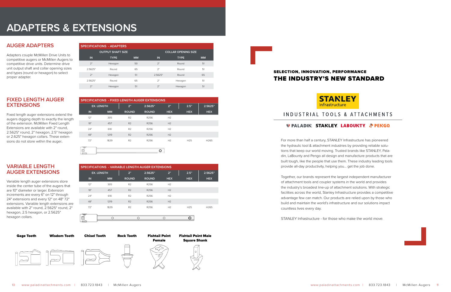

# **ADAPTERS & EXTENSIONS**

### **AUGER ADAPTERS**

Adapters couple McMillen Drive Units to competitive augers or McMillen Augers to competitive drive units. Determine drive unit output shaft and collar opening sizes and types (round or hexagon) to select proper adapter.

### **FIXED LENGTH AUGER EXTENSIONS**

Fixed length auger extensions extend the augers digging depth to exactly the length of the extension. McMillen Fixed Length Extensions are available with 2" round, 2.5625" round, 2" hexagon, 2.5" hexagon or 2.625" hexagon collars. These extensions do not store within the auger.

#### **VARIABLE LENGTH AUGER EXTENSIONS**

Variable length auger extensions store inside the center tube of the augers that are 10" diameter or larger. Extension increments are every 6" on 12" through 24" extensions and every 12" on 48" 72" extensions. Variable length extensions are available with 2" round, 2.5625" round, 2" hexagon, 2.5 hexagon, or 2.5625" hexagon collars.



| <b>SPECIFICATIONS - ADAPTERS</b> |             |           |         |                            |           |  |
|----------------------------------|-------------|-----------|---------|----------------------------|-----------|--|
| <b>OUTPUT SHAFT SIZE</b>         |             |           |         | <b>COLLAR OPENING SIZE</b> |           |  |
| IN.                              | <b>TYPE</b> | <b>MM</b> | IN      | <b>TYPE</b>                | <b>MM</b> |  |
| 2"                               | Hexagon     | 50        | 2"      | Round                      | 51        |  |
| 2.5625"                          | Round       | 65        | 2"      | Round                      | 51        |  |
| 2"                               | Hexagon     | 51        | 2.5625" | Round                      | 65        |  |
| 2.5625"                          | Round       | 65        | 2"      | Hexagon                    | 51        |  |
| 2"                               | Hexagon     | 51        | 2"      | Hexagon                    | 51        |  |

| SPECIFICATIONS - FIXED LENGTH AUGER EXTENSIONS |                   |                |              |                |                 |                  |
|------------------------------------------------|-------------------|----------------|--------------|----------------|-----------------|------------------|
|                                                | <b>EX. LENGTH</b> | 2"             | 2.5625"      | 2"             | 2.5"            | 2.5625"          |
| IN                                             | <b>MM</b>         | <b>ROUND</b>   | <b>ROUND</b> | <b>HEX</b>     | <b>HEX</b>      | <b>HEX</b>       |
| 12"                                            | 305               | R <sub>2</sub> | R256         | H <sub>2</sub> |                 |                  |
| 18"                                            | 457               | R <sub>2</sub> | R256         | H <sub>2</sub> |                 |                  |
| 24"                                            | 610               | R2             | R256         | H <sub>2</sub> |                 |                  |
| 48"                                            | 1219              | R <sub>2</sub> | R256         | H <sub>2</sub> |                 |                  |
| 72"                                            | 1829              | R <sub>2</sub> | R256         | H <sub>2</sub> | H <sub>25</sub> | H <sub>265</sub> |
|                                                |                   |                |              |                |                 |                  |
| $\sim$                                         |                   |                |              |                |                 |                  |

| <b>SPECIFICATIONS - VARIABLE LENGTH AUGER EXTENSIONS</b> |                   |                |              |                |                 |                  |
|----------------------------------------------------------|-------------------|----------------|--------------|----------------|-----------------|------------------|
|                                                          | <b>EX. LENGTH</b> | 2"             | 2.5625"      | 2"             | 2.5"            | 2.5625"          |
| <b>IN</b>                                                | <b>MM</b>         | <b>ROUND</b>   | <b>ROUND</b> | <b>HEX</b>     | <b>HEX</b>      | <b>HEX</b>       |
| 12"                                                      | 305               | R <sub>2</sub> | R256         | H <sub>2</sub> |                 |                  |
| 18"                                                      | 457               | R <sub>2</sub> | R256         | H <sub>2</sub> |                 |                  |
| 24"                                                      | 610               | R <sub>2</sub> | R256         | H <sub>2</sub> |                 |                  |
| 48"                                                      | 1219              | R <sub>2</sub> | R256         | H <sub>2</sub> |                 |                  |
| 72"                                                      | 1829              | R <sub>2</sub> | R256         | H <sub>2</sub> | H <sub>25</sub> | H <sub>265</sub> |
| ভ                                                        |                   |                |              |                |                 |                  |
| $\overline{\phantom{a}}$                                 |                   |                |              |                |                 |                  |

### SELECTION, INNOVATION, PERFORMANCE THE INDUSTRY'S NEW STANDARD



### INDUSTRIAL TOOLS & ATTACHMENTS

### **V PALADIN. STANLEY. LABOUNTY. & PENGO.**

For more than half a century, STANLEY Infrastructure has pioneered the hydraulic tool & attachment industries by providing reliable solutions that keep our world moving. Trusted brands like STANLEY, Paladin, LaBounty and Pengo all design and manufacture products that are built tough, like the people that use them. These industry leading tools provide all-day productivity, helping you… get the job done.

Together, our brands represent the largest independent manufacturer of attachment tools and coupler systems in the world and provides the industry's broadest line-up of attachment solutions. With strategic facilities across the world, Stanley Infrastructure provides a competitive advantage few can match. Our products are relied upon by those who build and maintain the world's infrastructure and our solutions impact countless lives every day.

STANLEY Infrastructure - for those who make the world *move.*